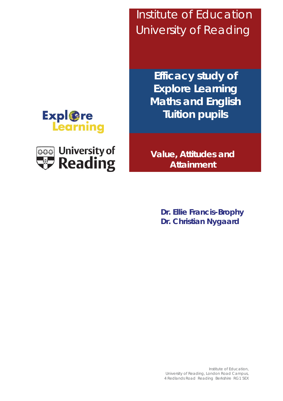**Expl**@re Learning



 Institute of Education University of Reading

> **Efficacy study of Explore Learning Maths and English Tuition pupils**

**Value, Attitudes and Attainment**

> **Dr. Ellie Francis-Brophy Dr. Christian Nygaard**

Institute of Education, University of Reading, London Road Campus, 4 Redlands Road Reading Berkshire RG1 5EX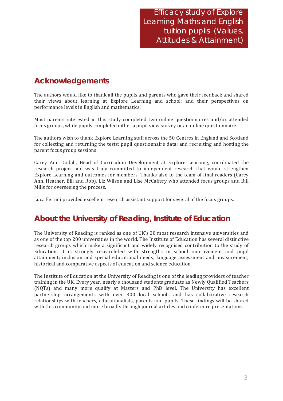**Efficacy study of Explore** Learning Maths and English tuition pupils (Values, Attitudes & Attainment)

# **Acknowledgements**

The authors would like to thank all the pupils and parents who gave their feedback and shared their views about learning at Explore Learning and school; and their perspectives on performance levels in English and mathematics.

Most parents interested in this study completed two online questionnaires and/or attended focus groups, while pupils completed either a pupil view survey or an online questionnaire.

The authors wish to thank Explore Learning staff across the 50 Centres in England and Scotland for collecting and returning the tests: pupil questionnaire data; and recruiting and hosting the parent focus group sessions.

Carey Ann Dodah, Head of Curriculum Development at Explore Learning, coordinated the research project and was truly committed to independent research that would strengthen Explore Learning and outcomes for members. Thanks also to the team of final readers (Carev Ann, Heather, Bill and Rob), Liz Wilson and Lise McCaffery who attended focus groups and Bill Mills for overseeing the process.

Luca Ferrini provided excellent research assistant support for several of the focus groups.

# About the University of Reading, Institute of Education

The University of Reading is ranked as one of UK's 20 most research intensive universities and as one of the top 200 universities in the world. The Institute of Education has several distinctive research groups which make a significant and widely recognised contribution to the study of Education. It is strongly research-led with strengths in school improvement and pupil attainment; inclusion and special educational needs; language assessment and measurement; historical and comparative aspects of education and science education.

The Institute of Education at the University of Reading is one of the leading providers of teacher training in the UK. Every year, nearly a thousand students graduate as Newly Qualified Teachers (NQTs) and many more qualify at Masters and PhD level. The University has excellent partnership arrangements with over 300 local schools and has collaborative research relationships with teachers, educationalists, parents and pupils. These findings will be shared with this community and more broadly through journal articles and conference presentations.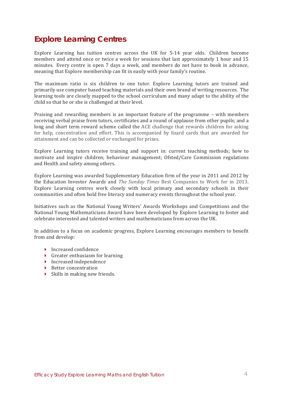# **Explore Learning Centres**

Explore Learning has tuition centres across the UK for 5-14 year olds. Children become members and attend once or twice a week for sessions that last approximately 1 hour and 15 minutes. Every centre is open 7 days a week, and members do not have to book in advance, meaning that Explore membership can fit in easily with your family's routine.

The maximum ratio is six children to one tutor. Explore Learning tutors are trained and primarily use computer based teaching materials and their own brand of writing resources. The learning tools are closely mapped to the school curriculum and many adapt to the ability of the child so that he or she is challenged at their level.

Praising and rewarding members is an important feature of the programme – with members receiving verbal praise from tutors, certificates and a round of applause from other pupils; and a long and short term reward scheme called the ACE challenge that rewards children for asking for help, concentration and effort. This is accompanied by lizard cards that are awarded for attainment and can be collected or exchanged for prizes.

Explore Learning tutors receive training and support in: current teaching methods; how to motivate and inspire children; behaviour management; Ofsted/Care Commission regulations and Health and safety among others.

Explore Learning was awarded Supplementary Education firm of the year in 2011 and 2012 by the Education Investor Awards and *The Sunday Times* Best Companies to Work for in 2013. Explore Learning centres work closely with local primary and secondary schools in their communities and often hold free literacy and numeracy events throughout the school year.

Initiatives such as the National Young Writers' Awards Workshops and Competitions and the National Young Mathematicians Award have been developed by Explore Learning to foster and celebrate interested and talented writers and mathematicians from across the UK.

In addition to a focus on academic progress, Explore Learning encourages members to benefit from and develop:

- $\blacktriangleright$  Increased confidence
- $\triangleright$  Greater enthusiasm for learning
- $\blacktriangleright$  Increased independence
- $\triangleright$  Better concentration
- $\triangleright$  Skills in making new friends.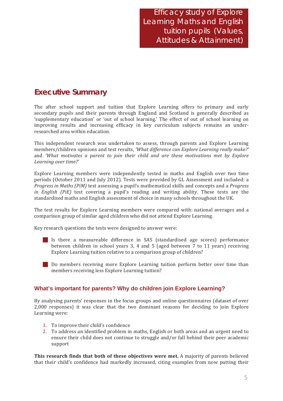# **Executive Summary**

The after school support and tuition that Explore Learning offers to primary and early secondary pupils and their parents through England and Scotland is generally described as 'supplementary education' or 'out of school learning.' The effect of out of school learning on improving results and increasing efficacy in key curriculum subjects remains an underresearched area within education.

This independent research was undertaken to assess, through parents and Explore Learning members/children opinions and test results. 'What difference can Explore Learning really make?' and 'What motivates a parent to join their child and are these motivations met by Explore Learning over time?'

Explore Learning members were independently tested in maths and English over two time periods (October 2011 and July 2012). Tests were provided by GL Assessment and included: a Progress in Maths (PiM) test assessing a pupil's mathematical skills and concepts and a Progress in English (PiE) test covering a pupil's reading and writing ability. These tests are the standardised maths and English assessment of choice in many schools throughout the UK.

The test results for Explore Learning members were compared with: national averages and a comparison group of similar aged children who did not attend Explore Learning.

Key research questions the tests were designed to answer were:

- Is there a measureable difference in SAS (standardised age scores) performance between children in school years 3, 4 and 5 (aged between 7 to 11 years) receiving Explore Learning tuition relative to a comparison group of children?
- Do members receiving more Explore Learning tuition perform better over time than members receiving less Explore Learning tuition?

## What's important for parents? Why do children join Explore Learning?

By analysing parents' responses in the focus groups and online questionnaires (dataset of over 2,000 responses) it was clear that the two dominant reasons for deciding to join Explore Learning were:

- 1. To improve their child's confidence
- 2. To address an identified problem in maths, English or both areas and an urgent need to ensure their child does not continue to struggle and/or fall behind their peer academic support

This research finds that both of these objectives were met. A majority of parents believed that their child's confidence had markedly increased, citing examples from now putting their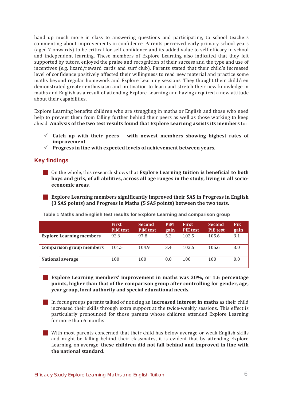hand up much more in class to answering questions and participating, to school teachers commenting about improvements in confidence. Parents perceived early primary school years (aged 7 onwards) to be critical for self-confidence and its added value to self-efficacy in school and independent learning. These members of Explore Learning also indicated that they felt supported by tutors, enjoyed the praise and recognition of their success and the type and use of incentives (e.g. lizard/reward cards and surf club). Parents stated that their child's increased level of confidence positively affected their willingness to read new material and practice some maths beyond regular homework and Explore Learning sessions. They thought their child/ren demonstrated greater enthusiasm and motivation to learn and stretch their new knowledge in maths and English as a result of attending Explore Learning and having acquired a new attitude about their capabilities.

Explore Learning benefits children who are struggling in maths or English and those who need help to prevent them from falling further behind their peers as well as those working to keep ahead. Analysis of the two test results found that Explore Learning assists its members to:

- $\checkmark$  Catch up with their peers with newest members showing highest rates of improvement
- $\checkmark$  Progress in line with expected levels of achievement between years.

### **Key findings**

**On the whole, this research shows that Explore Learning tuition is beneficial to both** boys and girls, of all abilities, across all age ranges in the study, living in all socioeconomic areas.

**Explore Learning members significantly improved their SAS in Progress in English** (3 SAS points) and Progress in Maths (5 SAS points) between the two tests.

|                                 | <b>First</b><br><b>PiM</b> test | <b>Second</b><br><b>PiM</b> test | <b>PiM</b><br>gain | <b>First</b><br><b>PiE</b> test | <b>Second</b><br><b>PiE</b> test | <b>PiE</b><br>gain |
|---------------------------------|---------------------------------|----------------------------------|--------------------|---------------------------------|----------------------------------|--------------------|
| <b>Explore Learning members</b> | 92.6                            | 97.8                             | 5.2                | 102.5                           | 105.6                            | 3.1                |
| Comparison group members        | 101.5                           | 104.9                            | 3.4                | 102.6                           | 105.6                            | 3.0                |
| <b>National average</b>         | 100                             | 100                              | 0.0                | 100                             | 100                              | 0.0                |

Table 1 Maths and English test results for Explore Learning and comparison group

**Explore Learning members' improvement in maths was 30%, or 1.6 percentage** points, higher than that of the comparison group after controlling for gender, age, vear group, local authority and special educational needs.

In focus groups parents talked of noticing an **increased interest in maths** as their child increased their skills through extra support at the twice-weekly sessions. This effect is particularly pronounced for those parents whose children attended Explore Learning for more than 6 months

With most parents concerned that their child has below average or weak English skills and might be falling behind their classmates, it is evident that by attending Explore Learning, on average, these children did not fall behind and improved in line with the national standard.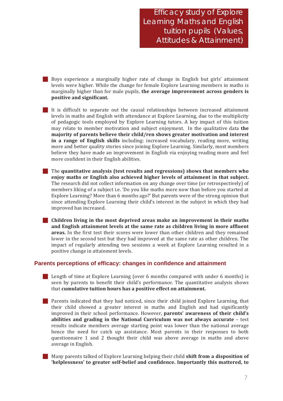**Efficacy study of Explore** Learning Maths and English tuition pupils (Values, Attitudes & Attainment)

Boys experience a marginally higher rate of change in English but girls' attainment levels were higher. While the change for female Explore Learning members in maths is marginally higher than for male pupils, the average improvement across genders is positive and significant.

It is difficult to separate out the causal relationships between increased attainment levels in maths and English with attendance at Explore Learning, due to the multiplicity of pedagogic tools employed by Explore Learning tutors. A key impact of this tuition may relate to member motivation and subject enjoyment. In the qualitative data the majority of parents believe their child/ren shows greater motivation and interest in a range of English skills including: increased vocabulary, reading more, writing more and better quality stories since joining Explore Learning. Similarly, most members believe they have made an improvement in English via enjoying reading more and feel more confident in their English abilities.

The quantitative analysis (test results and regressions) shows that members who enjoy maths or English also achieved higher levels of attainment in that subject. The research did not collect information on any change over time (or retrospectively) of members liking of a subject i.e. 'Do you like maths more now than before you started at Explore Learning? More than 6 months ago?' But parents were of the strong opinion that since attending Explore Learning their child's interest in the subject in which they had improved has increased.

Children living in the most deprived areas make an improvement in their maths and English attainment levels at the same rate as children living in more affluent areas. In the first test their scores were lower than other children and they remained lower in the second test but they had improved at the same rate as other children. The impact of regularly attending two sessions a week at Explore Learning resulted in a positive change in attainment levels.

### Parents perceptions of efficacy: changes in confidence and attainment

**Example 1** Length of time at Explore Learning (over 6 months compared with under 6 months) is seen by parents to benefit their child's performance. The quantitative analysis shows that cumulative tuition hours has a positive effect on attainment.

- **Example 2** Parents indicated that they had noticed, since their child joined Explore Learning, that their child showed a greater interest in maths and English and had significantly improved in their school performance. However, parents' awareness of their child's abilities and grading in the National Curriculum was not always accurate  $-$  test results indicate members average starting point was lower than the national average hence the need for catch up assistance. Most parents in their responses to both questionnaire 1 and 2 thought their child was above average in maths and above average in English.
- Many parents talked of Explore Learning helping their child shift from a disposition of 'helplessness' to greater self-belief and confidence. Importantly this mattered, to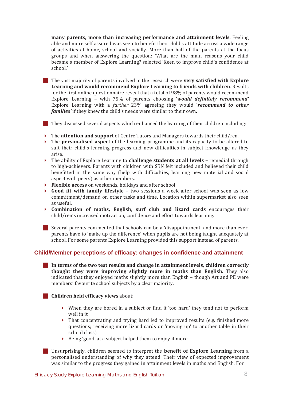many parents, more than increasing performance and attainment levels. Feeling able and more self assured was seen to benefit their child's attitude across a wide range of activities at home, school and socially. More than half of the parents at the focus groups and when answering the question: 'What are the main reasons your child became a member of Explore Learning? selected 'Keen to improve child's confidence at school.'

The vast majority of parents involved in the research were very satisfied with Explore Learning and would recommend Explore Learning to friends with children. Results for the first online questionnaire reveal that a total of 98% of parents would recommend Explore Learning - with 75% of parents choosing 'would definitely recommend' Explore Learning with a further 23% agreeing they would 'recommend to other families' if they knew the child's needs were similar to their own.

They discussed several aspects which enhanced the learning of their children including:

- $\triangleright$  The **attention and support** of Centre Tutors and Managers towards their child/ren.
- $\triangleright$  The **personalised aspect** of the learning programme and its capacity to be altered to suit their child's learning progress and new difficulties in subject knowledge as they arise.
- $\triangleright$  The ability of Explore Learning to **challenge students at all levels** remedial through to high-achievers. Parents with children with SEN felt included and believed their child benefitted in the same way (help with difficulties, learning new material and social aspect with peers) as other members.
- Flexible access on weekends, holidays and after school.
- $\blacktriangleright$ **Good fit with family lifestyle** - two sessions a week after school was seen as low commitment/demand on other tasks and time. Location within supermarket also seen as useful.
- Combination of maths, English, surf club and lizard cards encourages their child/ren's increased motivation, confidence and effort towards learning.

Several parents commented that schools can be a 'disappointment' and more than ever. parents have to 'make up the difference' when pupils are not being taught adequately at school. For some parents Explore Learning provided this support instead of parents.

## Child/Member perceptions of efficacy: changes in confidence and attainment

 $\blacksquare$  In terms of the two test results and change in attainment levels, children correctly thought they were improving slightly more in maths than English. They also indicated that they enjoyed maths slightly more than English - though Art and PE were members' favourite school subjects by a clear majority.

Children held efficacy views about:

- When they are bored in a subject or find it 'too hard' they tend not to perform well in it
- That concentrating and trying hard led to improved results (e.g. finished more questions; receiving more lizard cards or 'moving up' to another table in their school class)
- Being 'good' at a subject helped them to enjoy it more.
- **If Unsurprisingly, children seemed to interpret the benefit of Explore Learning** from a personalised understanding of why they attend. Their view of expected improvement was similar to the progress they gained in attainment levels in maths and English. For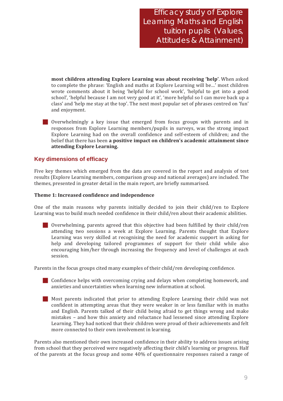most children attending Explore Learning was about receiving 'help'. When asked to complete the phrase: 'English and maths at Explore Learning will be...' most children wrote comments about it being 'helpful for school work', 'helpful to get into a good school', 'helpful because I am not very good at it', 'more helpful so I can move back up a class' and 'help me stay at the top'. The next most popular set of phrases centred on 'fun' and enjoyment.

Overwhelmingly a key issue that emerged from focus groups with parents and in responses from Explore Learning members/pupils in surveys, was the strong impact Explore Learning had on the overall confidence and self-esteem of children; and the belief that there has been a positive impact on children's academic attainment since attending Explore Learning.

## **Key dimensions of efficacy**

Five key themes which emerged from the data are covered in the report and analysis of test results (Explore Learning members, comparison group and national averages) are included. The themes, presented in greater detail in the main report, are briefly summarised.

#### Theme 1: Increased confidence and independence

One of the main reasons why parents initially decided to join their child/ren to Explore Learning was to build much needed confidence in their child/ren about their academic abilities.

**Overwhelming, parents agreed that this objective had been fulfilled by their child/ren** attending two sessions a week at Explore Learning. Parents thought that Explore Learning was very skilled at recognising the need for academic support in asking for help and developing tailored programmes of support for their child while also encouraging him/her through increasing the frequency and level of challenges at each session.

Parents in the focus groups cited many examples of their child/ren developing confidence.

- **Confidence helps with overcoming crying and delays when completing homework, and** anxieties and uncertainties when learning new information at school.
- Most parents indicated that prior to attending Explore Learning their child was not confident in attempting areas that they were weaker in or less familiar with in maths and English. Parents talked of their child being afraid to get things wrong and make mistakes – and how this anxiety and reluctance had lessened since attending Explore Learning. They had noticed that their children were proud of their achievements and felt more connected to their own involvement in learning.

Parents also mentioned their own increased confidence in their ability to address issues arising from school that they perceived were negatively affecting their child's learning or progress. Half of the parents at the focus group and some  $40\%$  of questionnaire responses raised a range of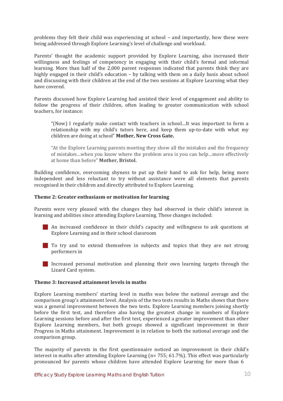problems they felt their child was experiencing at school – and importantly, how these were being addressed through Explore Learning's level of challenge and workload.

Parents' thought the academic support provided by Explore Learning, also increased their willingness and feelings of competency in engaging with their child's formal and informal learning. More than half of the 2,000 parent responses indicated that parents think they are highly engaged in their child's education – by talking with them on a daily basis about school and discussing with their children at the end of the two sessions at Explore Learning what they have covered.

Parents discussed how Explore Learning had assisted their level of engagement and ability to follow the progress of their children, often leading to greater communication with school teachers, for instance:

"(Now) I regularly make contact with teachers in school...It was important to form a relationship with my child's tutors here, and keep them up-to-date with what my children are doing at school" Mother, New Cross Gate.

"At the Explore Learning parents meeting they show all the mistakes and the frequency of mistakes...when you know where the problem area is you can help...more effectively at home than before" Mother, Bristol.

Building confidence, overcoming shyness to put up their hand to ask for help, being more independent and less reluctant to try without assistance were all elements that parents recognised in their children and directly attributed to Explore Learning.

#### Theme 2: Greater enthusiasm or motivation for learning

Parents were very pleased with the changes they had observed in their child's interest in learning and abilities since attending Explore Learning. These changes included:

- An increased confidence in their child's capacity and willingness to ask questions at Explore Learning and in their school classroom
- To try and to extend themselves in subjects and topics that they are not strong performers in
- Increased personal motivation and planning their own learning targets through the Lizard Card system.

#### Theme 3: Increased attainment levels in maths

Explore Learning members' starting level in maths was below the national average and the comparison group's attainment level. Analysis of the two tests results in Maths shows that there was a general improvement between the two tests. Explore Learning members joining shortly before the first test, and therefore also having the greatest change in numbers of Explore Learning sessions before and after the first test, experienced a greater improvement than other Explore Learning members, but both groups showed a significant improvement in their Progress in Maths attainment. Improvement is in relation to both the national average and the comparison group.

The majority of parents in the first questionnaire noticed an improvement in their child's interest in maths after attending Explore Learning ( $n = 755$ ; 61.7%). This effect was particularly pronounced for parents whose children have attended Explore Learning for more than 6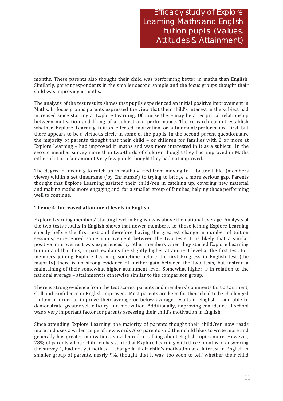months. These parents also thought their child was performing better in maths than English. Similarly, parent respondents in the smaller second sample and the focus groups thought their child was improving in maths.

The analysis of the test results shows that pupils experienced an initial positive improvement in Maths. In focus groups parents expressed the view that their child's interest in the subject had increased since starting at Explore Learning. Of course there may be a reciprocal relationship between motivation and liking of a subject and performance. The research cannot establish whether Explore Learning tuition effected motivation or attainment/performance first but there appears to be a virtuous circle in some of the pupils. In the second parent questionnaire the majority of parents thought that their child - or children for families with 2 or more at Explore Learning – had improved in maths and was more interested in it as a subject. In the second member survey more than two-thirds of children thought they had improved in Maths either a lot or a fair amount Very few pupils thought they had not improved.

The degree of needing to catch-up in maths varied from moving to a 'better table' (members views) within a set timeframe ('by Christmas') to trying to bridge a more serious gap. Parents thought that Explore Learning assisted their child/ren in catching up, covering new material and making maths more engaging and, for a smaller group of families, helping those performing well to continue.

### Theme 4: Increased attainment levels in English

Explore Learning members' starting level in English was above the national average. Analysis of the two tests results in English shows that newer members, *i.e.* those joining Explore Learning shortly before the first test and therefore having the greatest change in number of tuition sessions, experienced some improvement between the two tests. It is likely that a similar positive improvement was experienced by other members when they started Explore Learning tuition and that this, in part, explains the slightly higher attainment level at the first test. For members joining Explore Learning sometime before the first Progress in English test (the majority) there is no strong evidence of further gain between the two tests, but instead a maintaining of their somewhat higher attainment level. Somewhat higher is in relation to the national average – attainment is otherwise similar to the comparison group.

There is strong evidence from the test scores, parents and members' comments that attainment, skill and confidence in English improved. Most parents are keen for their child to be challenged - often in order to improve their average or below average results in English - and able to demonstrate greater self-efficacy and motivation. Additionally, improving confidence at school was a very important factor for parents assessing their child's motivation in English.

Since attending Explore Learning, the majority of parents thought their child/ren now reads more and uses a wider range of new words Also parents said their child likes to write more and generally has greater motivation as evidenced in talking about English topics more. However, 28% of parents whose children has started at Explore Learning with three months of answering the survey 1, had not yet noticed a change in their child's motivation and interest in English. A smaller group of parents, nearly 9%, thought that it was 'too soon to tell' whether their child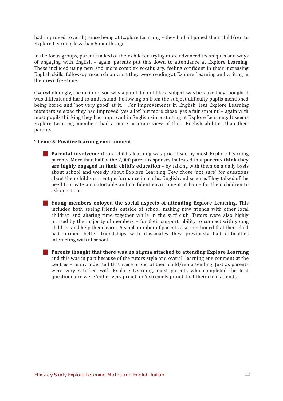had improved (overall) since being at Explore Learning – they had all joined their child/ren to Explore Learning less than 6 months ago.

In the focus groups, parents talked of their children trying more advanced techniques and ways of engaging with English - again, parents put this down to attendance at Explore Learning. These included using new and more complex vocabulary, feeling confident in their increasing English skills, follow-up research on what they were reading at Explore Learning and writing in their own free time.

Overwhelmingly, the main reason why a pupil did not like a subject was because they thought it was difficult and hard to understand. Following on from the subject difficulty pupils mentioned being bored and 'not very good' at it. For improvements in English, less Explore Learning members selected they had improved 'yes a lot' but more chose 'yes a fair amount' – again with most pupils thinking they had improved in English since starting at Explore Learning. It seems Explore Learning members had a more accurate view of their English abilities than their parents.

#### Theme 5: Positive learning environment

- **Parental involvement** in a child's learning was prioritised by most Explore Learning parents. More than half of the 2,000 parent responses indicated that parents think they are highly engaged in their child's education  $-$  by talking with them on a daily basis about school and weekly about Explore Learning. Few chose 'not sure' for questions about their child's current performance in maths, English and science. They talked of the need to create a comfortable and confident environment at home for their children to ask questions.
- **Solution** Young members enjoyed the social aspects of attending Explore Learning. This included both seeing friends outside of school, making new friends with other local children and sharing time together while in the surf club. Tutors were also highly praised by the majority of members - for their support, ability to connect with young children and help them learn. A small number of parents also mentioned that their child had formed better friendships with classmates they previously had difficulties interacting with at school.
- **Parents thought that there was no stigma attached to attending Explore Learning** and this was in part because of the tutors style and overall learning environment at the Centres – many indicated that were proud of their child/ren attending. Just as parents were very satisfied with Explore Learning, most parents who completed the first questionnaire were 'either very proud' or 'extremely proud' that their child attends.